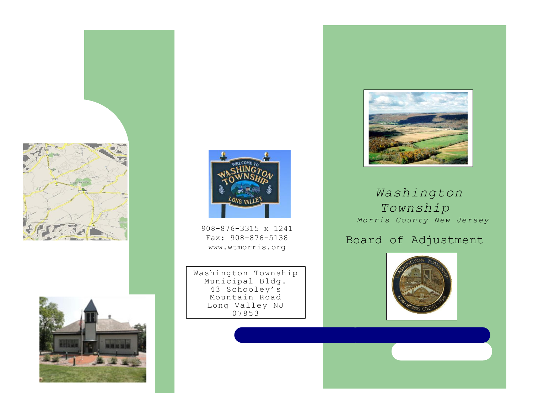





908-876-3315 x 1241 Fax: 908-876-5138 www.wtmorris.org

Washington Township Municipal Bldg. 43 Schooley's Mountain Road Long Valley NJ 07853



# *Washington Township Morris County New Jersey*

# Board of Adjustment